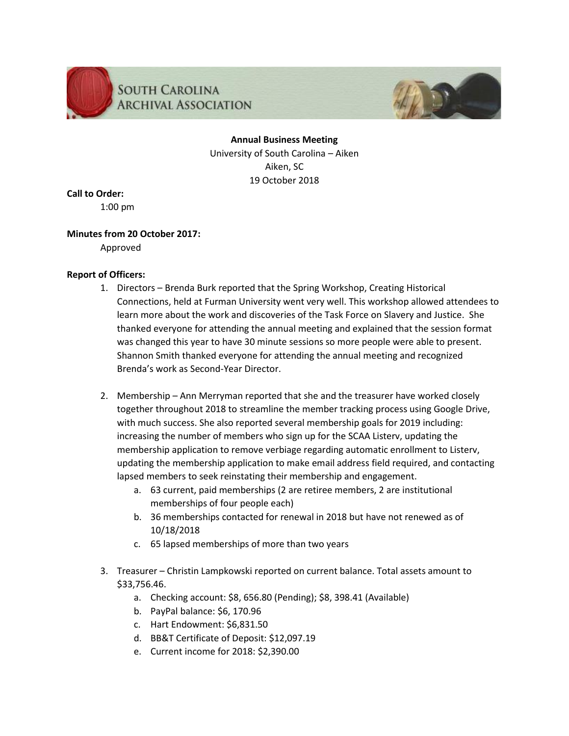



**Annual Business Meeting** University of South Carolina – Aiken Aiken, SC 19 October 2018

## **Call to Order:**

1:00 pm

#### **Minutes from 20 October 2017:**

Approved

#### **Report of Officers:**

- 1. Directors Brenda Burk reported that the Spring Workshop, Creating Historical Connections, held at Furman University went very well. This workshop allowed attendees to learn more about the work and discoveries of the Task Force on Slavery and Justice. She thanked everyone for attending the annual meeting and explained that the session format was changed this year to have 30 minute sessions so more people were able to present. Shannon Smith thanked everyone for attending the annual meeting and recognized Brenda's work as Second-Year Director.
- 2. Membership Ann Merryman reported that she and the treasurer have worked closely together throughout 2018 to streamline the member tracking process using Google Drive, with much success. She also reported several membership goals for 2019 including: increasing the number of members who sign up for the SCAA Listerv, updating the membership application to remove verbiage regarding automatic enrollment to Listerv, updating the membership application to make email address field required, and contacting lapsed members to seek reinstating their membership and engagement.
	- a. 63 current, paid memberships (2 are retiree members, 2 are institutional memberships of four people each)
	- b. 36 memberships contacted for renewal in 2018 but have not renewed as of 10/18/2018
	- c. 65 lapsed memberships of more than two years
- 3. Treasurer Christin Lampkowski reported on current balance. Total assets amount to \$33,756.46.
	- a. Checking account: \$8, 656.80 (Pending); \$8, 398.41 (Available)
	- b. PayPal balance: \$6, 170.96
	- c. Hart Endowment: \$6,831.50
	- d. BB&T Certificate of Deposit: \$12,097.19
	- e. Current income for 2018: \$2,390.00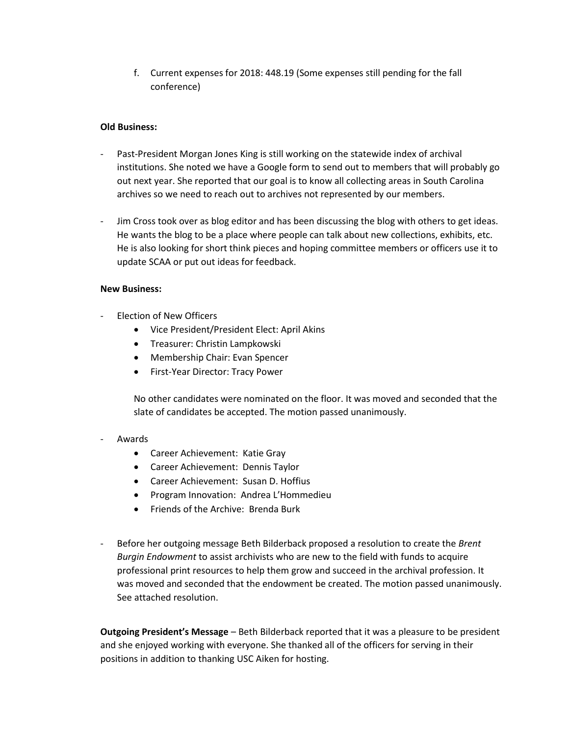f. Current expenses for 2018: 448.19 (Some expenses still pending for the fall conference)

#### **Old Business:**

- Past-President Morgan Jones King is still working on the statewide index of archival institutions. She noted we have a Google form to send out to members that will probably go out next year. She reported that our goal is to know all collecting areas in South Carolina archives so we need to reach out to archives not represented by our members.
- Jim Cross took over as blog editor and has been discussing the blog with others to get ideas. He wants the blog to be a place where people can talk about new collections, exhibits, etc. He is also looking for short think pieces and hoping committee members or officers use it to update SCAA or put out ideas for feedback.

#### **New Business:**

- Election of New Officers
	- Vice President/President Elect: April Akins
	- Treasurer: Christin Lampkowski
	- Membership Chair: Evan Spencer
	- First-Year Director: Tracy Power

No other candidates were nominated on the floor. It was moved and seconded that the slate of candidates be accepted. The motion passed unanimously.

#### **Awards**

- Career Achievement: Katie Gray
- Career Achievement: Dennis Taylor
- Career Achievement: Susan D. Hoffius
- Program Innovation: Andrea L'Hommedieu
- Friends of the Archive: Brenda Burk
- Before her outgoing message Beth Bilderback proposed a resolution to create the *Brent Burgin Endowment* to assist archivists who are new to the field with funds to acquire professional print resources to help them grow and succeed in the archival profession. It was moved and seconded that the endowment be created. The motion passed unanimously. See attached resolution.

**Outgoing President's Message** – Beth Bilderback reported that it was a pleasure to be president and she enjoyed working with everyone. She thanked all of the officers for serving in their positions in addition to thanking USC Aiken for hosting.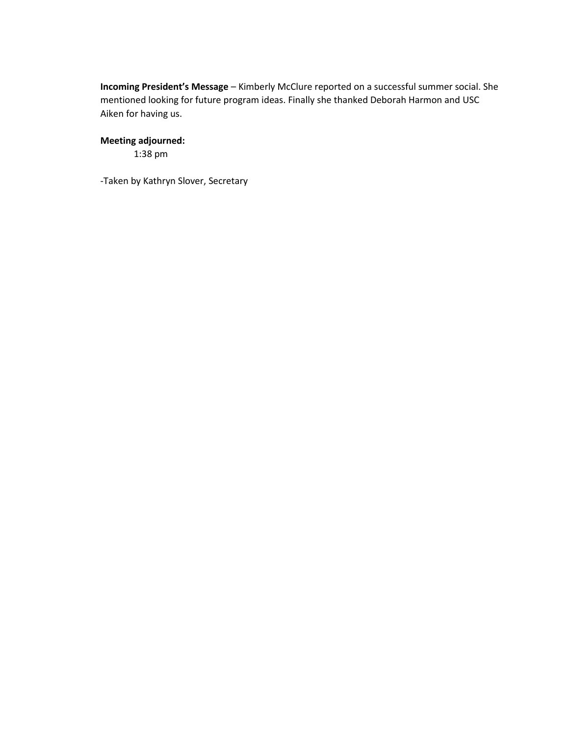**Incoming President's Message** – Kimberly McClure reported on a successful summer social. She mentioned looking for future program ideas. Finally she thanked Deborah Harmon and USC Aiken for having us.

## **Meeting adjourned:**

1:38 pm

-Taken by Kathryn Slover, Secretary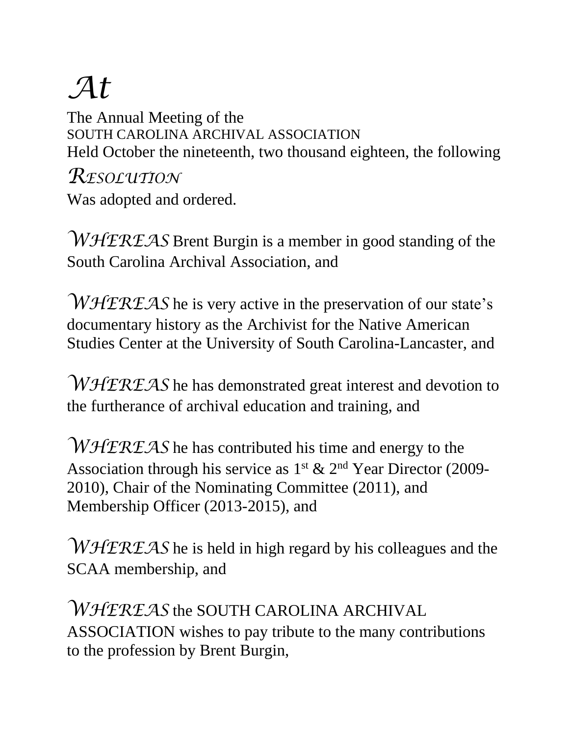# *At*

The Annual Meeting of the SOUTH CAROLINA ARCHIVAL ASSOCIATION Held October the nineteenth, two thousand eighteen, the following

*RESOLUTION* Was adopted and ordered.

*WHEREAS* Brent Burgin is a member in good standing of the South Carolina Archival Association, and

*WHEREAS* he is very active in the preservation of our state's documentary history as the Archivist for the Native American Studies Center at the University of South Carolina-Lancaster, and

*WHEREAS* he has demonstrated great interest and devotion to the furtherance of archival education and training, and

*WHEREAS* he has contributed his time and energy to the Association through his service as  $1^{st}$  &  $2^{nd}$  Year Director (2009-2010), Chair of the Nominating Committee (2011), and Membership Officer (2013-2015), and

*WHEREAS* he is held in high regard by his colleagues and the SCAA membership, and

*WHEREAS* the SOUTH CAROLINA ARCHIVAL ASSOCIATION wishes to pay tribute to the many contributions to the profession by Brent Burgin,